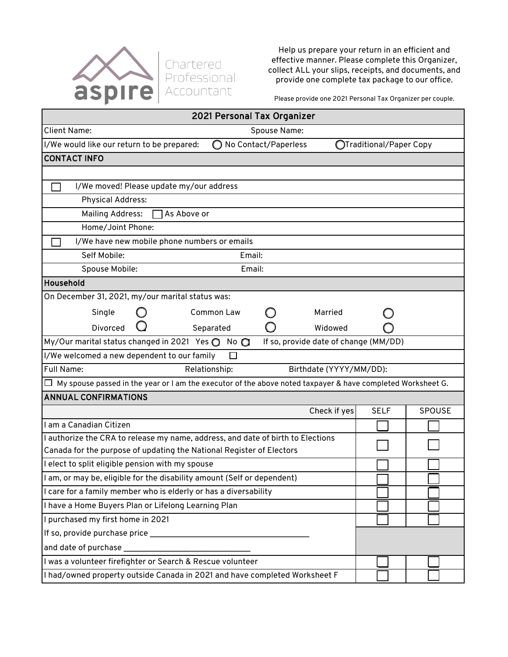

Help us prepare your return in an efficient and effective manner. Please complete this Organizer, collect ALL your slips, receipts, and documents, and provide one complete tax package to our office.

Please provide one 2021 Personal Tax Organizer per couple.

| 2021 Personal Tax Organizer                                                                                 |            |                      |                                       |                         |        |  |
|-------------------------------------------------------------------------------------------------------------|------------|----------------------|---------------------------------------|-------------------------|--------|--|
| <b>Client Name:</b><br>Spouse Name:                                                                         |            |                      |                                       |                         |        |  |
| I/We would like our return to be prepared:                                                                  | $\bigcirc$ | No Contact/Paperless |                                       | OTraditional/Paper Copy |        |  |
| <b>CONTACT INFO</b>                                                                                         |            |                      |                                       |                         |        |  |
|                                                                                                             |            |                      |                                       |                         |        |  |
| I/We moved! Please update my/our address                                                                    |            |                      |                                       |                         |        |  |
| <b>Physical Address:</b>                                                                                    |            |                      |                                       |                         |        |  |
| <b>Mailing Address:</b><br>As Above or                                                                      |            |                      |                                       |                         |        |  |
| Home/Joint Phone:                                                                                           |            |                      |                                       |                         |        |  |
| I/We have new mobile phone numbers or emails                                                                |            |                      |                                       |                         |        |  |
| Self Mobile:                                                                                                | Email:     |                      |                                       |                         |        |  |
| Spouse Mobile:                                                                                              | Email:     |                      |                                       |                         |        |  |
| Household                                                                                                   |            |                      |                                       |                         |        |  |
| On December 31, 2021, my/our marital status was:                                                            |            |                      |                                       |                         |        |  |
| Single                                                                                                      | Common Law |                      | Married                               |                         |        |  |
| Divorced                                                                                                    | Separated  |                      | Widowed                               |                         |        |  |
| My/Our marital status changed in 2021 Yes $\bigcirc$                                                        | $No$ $O$   |                      | If so, provide date of change (MM/DD) |                         |        |  |
| I/We welcomed a new dependent to our family<br>$\Box$                                                       |            |                      |                                       |                         |        |  |
| Full Name:<br>Relationship:<br>Birthdate (YYYY/MM/DD):                                                      |            |                      |                                       |                         |        |  |
| My spouse passed in the year or I am the executor of the above noted taxpayer & have completed Worksheet G. |            |                      |                                       |                         |        |  |
| <b>ANNUAL CONFIRMATIONS</b>                                                                                 |            |                      |                                       |                         |        |  |
|                                                                                                             |            |                      | Check if yes                          | <b>SELF</b>             | SPOUSE |  |
| I am a Canadian Citizen                                                                                     |            |                      |                                       |                         |        |  |
| I authorize the CRA to release my name, address, and date of birth to Elections                             |            |                      |                                       |                         |        |  |
| Canada for the purpose of updating the National Register of Electors                                        |            |                      |                                       |                         |        |  |
| I elect to split eligible pension with my spouse                                                            |            |                      |                                       |                         |        |  |
| am, or may be, eligible for the disability amount (Self or dependent)                                       |            |                      |                                       |                         |        |  |
| I care for a family member who is elderly or has a diversability                                            |            |                      |                                       |                         |        |  |
| I have a Home Buyers Plan or Lifelong Learning Plan                                                         |            |                      |                                       |                         |        |  |
| I purchased my first home in 2021                                                                           |            |                      |                                       |                         |        |  |
|                                                                                                             |            |                      |                                       |                         |        |  |
| and date of purchase                                                                                        |            |                      |                                       |                         |        |  |
| I was a volunteer firefighter or Search & Rescue volunteer                                                  |            |                      |                                       |                         |        |  |
| I had/owned property outside Canada in 2021 and have completed Worksheet F                                  |            |                      |                                       |                         |        |  |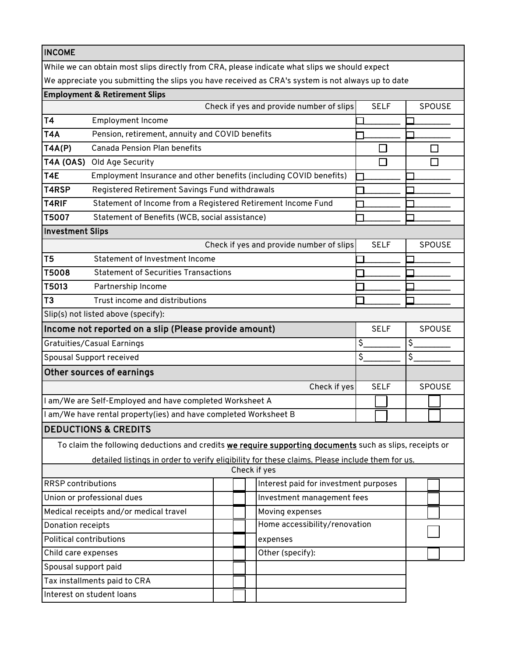| <b>INCOME</b> |  |
|---------------|--|
|---------------|--|

While we can obtain most slips directly from CRA, please indicate what slips we should expect

We appreciate you submitting the slips you have received as CRA's system is not always up to date

## **Employment & Retirement Slips** Check if yes and provide number of slips SELF SPOUSE T4 Employment Income \_\_\_\_\_\_\_\_\_ \_\_\_\_\_\_\_\_\_ T4A Pension, retirement, annuity and COVID benefits  $\Box$ T4A(P) Canada Pension Plan benefits  $\Box$  $\Box$ T4A (OAS) Old Age Security  $\Box$  $\Box$ T4E Employment Insurance and other benefits (including COVID benefits) \_\_\_\_\_\_\_\_\_ \_\_\_\_\_\_\_\_\_ T4RSP Registered Retirement Savings Fund withdrawals  $\Box$ T4RIF Statement of Income from a Registered Retirement Income Fund \_\_\_\_\_\_\_\_\_ \_\_\_\_\_\_\_\_\_ T5007 Statement of Benefits (WCB, social assistance) \_\_\_\_\_\_\_\_\_ \_\_\_\_\_\_\_\_\_ Investment Slips Check if yes and provide number of slips SELF | SPOUSE T5 Statement of Investment Income  $\Box$ T5008 Statement of Securities Transactions <u>\_\_\_\_\_\_\_</u> \_\_\_\_\_\_\_ T5013 Partnership Income  $\Box$ T3 Trust income and distributions \_\_\_\_\_\_\_\_\_ \_\_\_\_\_\_\_\_\_ Slip(s) not listed above (specify): Income not reported on a slip (Please provide amount) SELF SPOUSE Gratuities/Casual Earnings  $\mathsf{S}$ \$ \_\_\_\_\_\_\_\_\_ \_\_\_\_\_\_\_\_\_  $\overline{\mathsf{s}}$  $\overline{\mathsf{s}}$ Spousal Support received \_\_\_\_\_\_\_\_\_ \_\_\_\_\_\_\_\_\_ Other sources of earnings Check if yes SELF | SPOUSE I am/We are Self-Employed and have completed Worksheet A I am/We have rental property(ies) and have completed Worksheet B DEDUCTIONS & CREDITS To claim the following deductions and credits we require supporting documents such as slips, receipts or detailed listings in order to verify eligibility for these claims. Please include them for us. Check if yes RRSP contributions Interest paid for investment purposes Union or professional dues Investment management fees Medical receipts and/or medical travel  $\Box$  Moving expenses Home accessibility/renovation Donation receipts Political contributions expenses Child care expenses Other (specify): Spousal support paid Tax installments paid to CRA Interest on student loans